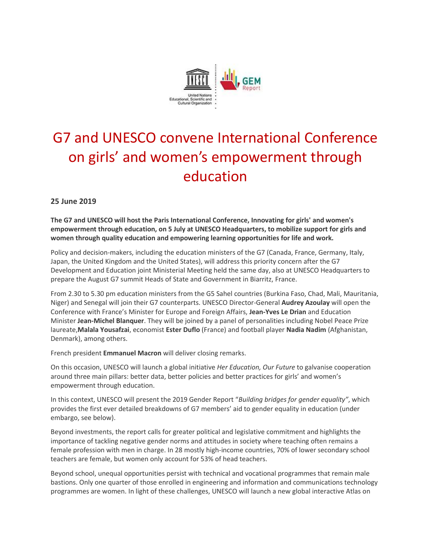

## G7 and UNESCO convene International Conference on girls' and women's empowerment through education

**25 June 2019**

**The G7 and UNESCO will host the Paris International Conference, Innovating for girls' and women's empowerment through education, on 5 July at UNESCO Headquarters, to mobilize support for girls and women through quality education and empowering learning opportunities for life and work.**

Policy and decision-makers, including the education ministers of the G7 (Canada, France, Germany, Italy, Japan, the United Kingdom and the United States), will address this priority concern after the G7 Development and Education joint Ministerial Meeting held the same day, also at UNESCO Headquarters to prepare the August G7 summit Heads of State and Government in Biarritz, France.

From 2.30 to 5.30 pm education ministers from the G5 Sahel countries (Burkina Faso, Chad, Mali, Mauritania, Niger) and Senegal will join their G7 counterparts. UNESCO Director-General **Audrey Azoulay** will open the Conference with France's Minister for Europe and Foreign Affairs, **Jean-Yves Le Drian** and Education Minister **Jean-Michel Blanquer**. They will be joined by a panel of personalities including Nobel Peace Prize laureate,**Malala Yousafzai**, economist **Ester Duflo** (France) and football player **Nadia Nadim** (Afghanistan, Denmark), among others.

French president **Emmanuel Macron** will deliver closing remarks.

On this occasion, UNESCO will launch a global initiative *Her Education, Our Future* to galvanise cooperation around three main pillars: better data, better policies and better practices for girls' and women's empowerment through education.

In this context, UNESCO will present the 2019 Gender Report "*Building bridges for gender equality"*, which provides the first ever detailed breakdowns of G7 members' aid to gender equality in education (under embargo, see below).

Beyond investments, the report calls for greater political and legislative commitment and highlights the importance of tackling negative gender norms and attitudes in society where teaching often remains a female profession with men in charge. In 28 mostly high-income countries, 70% of lower secondary school teachers are female, but women only account for 53% of head teachers.

Beyond school, unequal opportunities persist with technical and vocational programmes that remain male bastions. Only one quarter of those enrolled in engineering and information and communications technology programmes are women. In light of these challenges, UNESCO will launch a new global interactive Atlas on